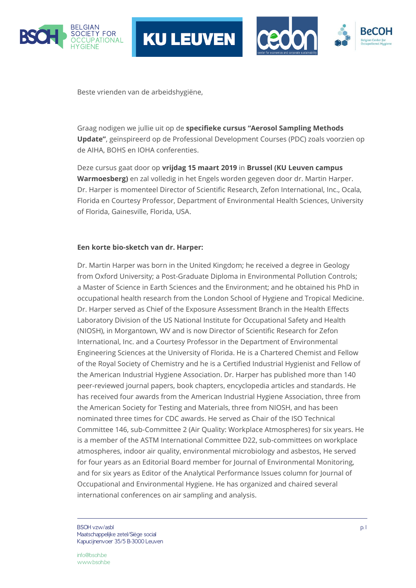





Beste vrienden van de arbeidshygiëne,

Graag nodigen we jullie uit op de **specifieke cursus "Aerosol Sampling Methods Update"**, geïnspireerd op de Professional Development Courses (PDC) zoals voorzien op de AIHA, BOHS en IOHA conferenties.

Deze cursus gaat door op **vrijdag 15 maart 2019** in **Brussel (KU Leuven campus Warmoesberg)** en zal volledig in het Engels worden gegeven door dr. Martin Harper. Dr. Harper is momenteel Director of Scientific Research, Zefon International, Inc., Ocala, Florida en Courtesy Professor, Department of Environmental Health Sciences, University of Florida, Gainesville, Florida, USA.

#### **Een korte bio-sketch van dr. Harper:**

Dr. Martin Harper was born in the United Kingdom; he received a degree in Geology from Oxford University; a Post-Graduate Diploma in Environmental Pollution Controls; a Master of Science in Earth Sciences and the Environment; and he obtained his PhD in occupational health research from the London School of Hygiene and Tropical Medicine. Dr. Harper served as Chief of the Exposure Assessment Branch in the Health Effects Laboratory Division of the US National Institute for Occupational Safety and Health (NIOSH), in Morgantown, WV and is now Director of Scientific Research for Zefon International, Inc. and a Courtesy Professor in the Department of Environmental Engineering Sciences at the University of Florida. He is a Chartered Chemist and Fellow of the Royal Society of Chemistry and he is a Certified Industrial Hygienist and Fellow of the American Industrial Hygiene Association. Dr. Harper has published more than 140 peer-reviewed journal papers, book chapters, encyclopedia articles and standards. He has received four awards from the American Industrial Hygiene Association, three from the American Society for Testing and Materials, three from NIOSH, and has been nominated three times for CDC awards. He served as Chair of the ISO Technical Committee 146, sub-Committee 2 (Air Quality: Workplace Atmospheres) for six years. He is a member of the ASTM International Committee D22, sub-committees on workplace atmospheres, indoor air quality, environmental microbiology and asbestos, He served for four years as an Editorial Board member for Journal of Environmental Monitoring, and for six years as Editor of the Analytical Performance Issues column for Journal of Occupational and Environmental Hygiene. He has organized and chaired several international conferences on air sampling and analysis.

BSOH vzw/asbl $\,$ p. 1 Maatschappelijke zetel/Siège social Kapucijnenvoer 35/5 B-3000 Leuven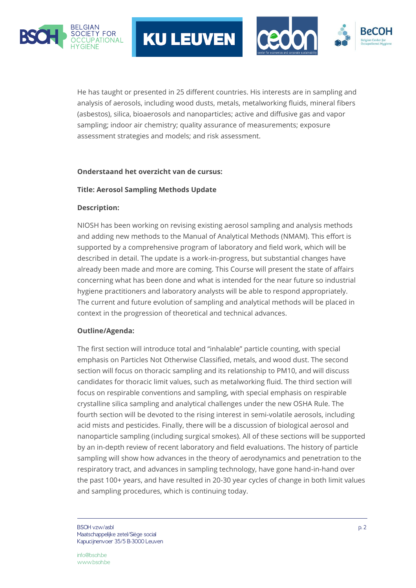





He has taught or presented in 25 different countries. His interests are in sampling and analysis of aerosols, including wood dusts, metals, metalworking fluids, mineral fibers (asbestos), silica, bioaerosols and nanoparticles; active and diffusive gas and vapor sampling; indoor air chemistry; quality assurance of measurements; exposure assessment strategies and models; and risk assessment.

## **Onderstaand het overzicht van de cursus:**

## **Title: Aerosol Sampling Methods Update**

## **Description:**

NIOSH has been working on revising existing aerosol sampling and analysis methods and adding new methods to the Manual of Analytical Methods (NMAM). This effort is supported by a comprehensive program of laboratory and field work, which will be described in detail. The update is a work-in-progress, but substantial changes have already been made and more are coming. This Course will present the state of affairs concerning what has been done and what is intended for the near future so industrial hygiene practitioners and laboratory analysts will be able to respond appropriately. The current and future evolution of sampling and analytical methods will be placed in context in the progression of theoretical and technical advances.

# **Outline/Agenda:**

The first section will introduce total and "inhalable" particle counting, with special emphasis on Particles Not Otherwise Classified, metals, and wood dust. The second section will focus on thoracic sampling and its relationship to PM10, and will discuss candidates for thoracic limit values, such as metalworking fluid. The third section will focus on respirable conventions and sampling, with special emphasis on respirable crystalline silica sampling and analytical challenges under the new OSHA Rule. The fourth section will be devoted to the rising interest in semi-volatile aerosols, including acid mists and pesticides. Finally, there will be a discussion of biological aerosol and nanoparticle sampling (including surgical smokes). All of these sections will be supported by an in-depth review of recent laboratory and field evaluations. The history of particle sampling will show how advances in the theory of aerodynamics and penetration to the respiratory tract, and advances in sampling technology, have gone hand-in-hand over the past 100+ years, and have resulted in 20-30 year cycles of change in both limit values and sampling procedures, which is continuing today.

BSOH vzw/asbl p. 2 Maatschappelijke zetel/Siège social Kapucijnenvoer 35/5 B-3000 Leuven

info@bsoh.be www.bsoh.be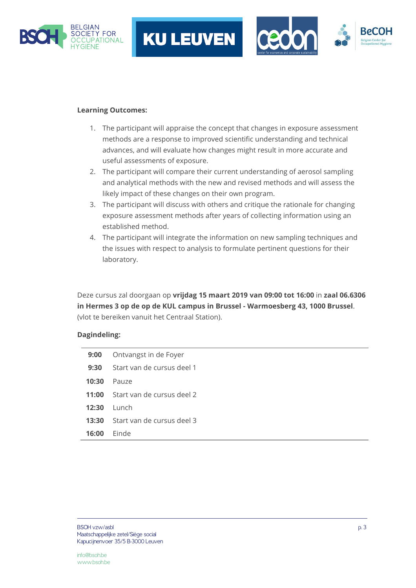





# **Learning Outcomes:**

- 1. The participant will appraise the concept that changes in exposure assessment methods are a response to improved scientific understanding and technical advances, and will evaluate how changes might result in more accurate and useful assessments of exposure.
- 2. The participant will compare their current understanding of aerosol sampling and analytical methods with the new and revised methods and will assess the likely impact of these changes on their own program.
- 3. The participant will discuss with others and critique the rationale for changing exposure assessment methods after years of collecting information using an established method.
- 4. The participant will integrate the information on new sampling techniques and the issues with respect to analysis to formulate pertinent questions for their laboratory.

Deze cursus zal doorgaan op **vrijdag 15 maart 2019 van 09:00 tot 16:00** in **zaal 06.6306 in Hermes 3 op de op de KUL campus in Brussel - Warmoesberg 43, 1000 Brussel**. (vlot te bereiken vanuit het Centraal Station).

### **Dagindeling:**

| 9:00  | Ontvangst in de Foyer      |
|-------|----------------------------|
| 9:30  | Start van de cursus deel 1 |
| 10:30 | Pauze                      |
| 11:00 | Start van de cursus deel 2 |
| 12:30 | Lunch.                     |
| 13:30 | Start van de cursus deel 3 |
| 16:00 | Einde                      |
|       |                            |